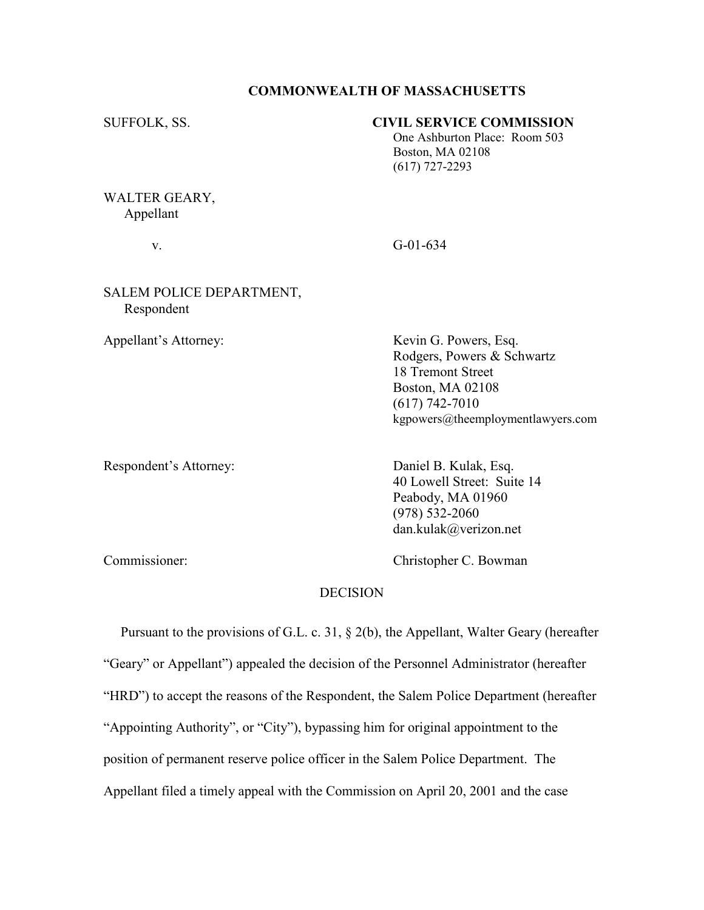#### COMMONWEALTH OF MASSACHUSETTS

## SUFFOLK, SS. CIVIL SERVICE COMMISSION

 One Ashburton Place: Room 503 Boston, MA 02108 (617) 727-2293

WALTER GEARY, Appellant

v. G-01-634

## SALEM POLICE DEPARTMENT, Respondent

Appellant's Attorney: Kevin G. Powers, Esq. Rodgers, Powers & Schwartz 18 Tremont Street Boston, MA 02108 (617) 742-7010 kgpowers@theemploymentlawyers.com

Respondent's Attorney: Daniel B. Kulak, Esq.

 40 Lowell Street: Suite 14 Peabody, MA 01960 (978) 532-2060 dan.kulak@verizon.net

Commissioner: Christopher C. Bowman

#### **DECISION**

 Pursuant to the provisions of G.L. c. 31, § 2(b), the Appellant, Walter Geary (hereafter "Geary" or Appellant") appealed the decision of the Personnel Administrator (hereafter "HRD") to accept the reasons of the Respondent, the Salem Police Department (hereafter "Appointing Authority", or "City"), bypassing him for original appointment to the position of permanent reserve police officer in the Salem Police Department. The Appellant filed a timely appeal with the Commission on April 20, 2001 and the case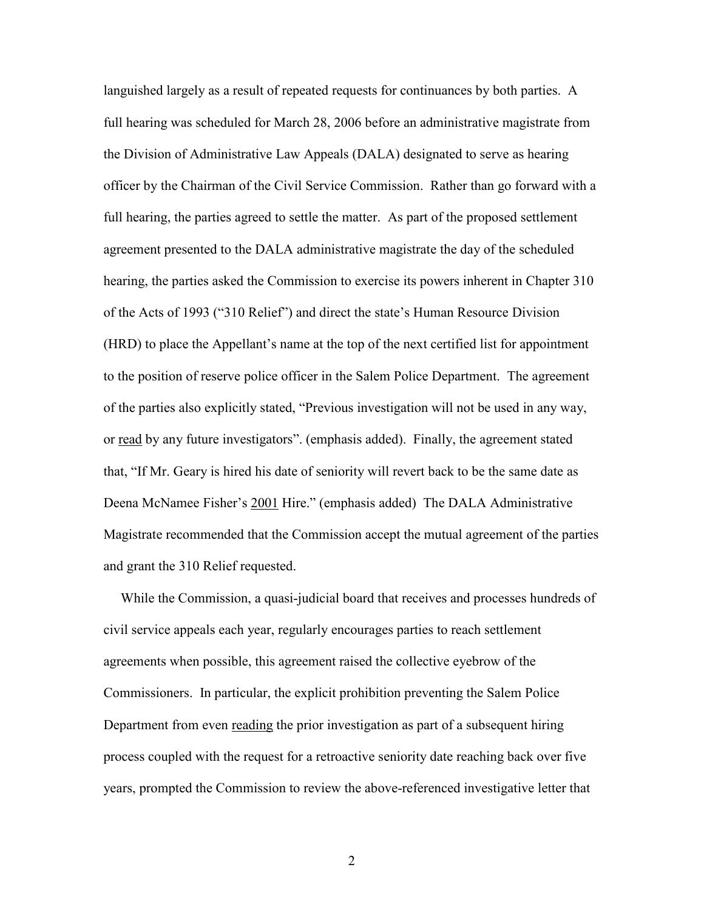languished largely as a result of repeated requests for continuances by both parties. A full hearing was scheduled for March 28, 2006 before an administrative magistrate from the Division of Administrative Law Appeals (DALA) designated to serve as hearing officer by the Chairman of the Civil Service Commission. Rather than go forward with a full hearing, the parties agreed to settle the matter. As part of the proposed settlement agreement presented to the DALA administrative magistrate the day of the scheduled hearing, the parties asked the Commission to exercise its powers inherent in Chapter 310 of the Acts of 1993 ("310 Relief") and direct the state's Human Resource Division (HRD) to place the Appellant's name at the top of the next certified list for appointment to the position of reserve police officer in the Salem Police Department. The agreement of the parties also explicitly stated, "Previous investigation will not be used in any way, or read by any future investigators". (emphasis added). Finally, the agreement stated that, "If Mr. Geary is hired his date of seniority will revert back to be the same date as Deena McNamee Fisher's 2001 Hire." (emphasis added) The DALA Administrative Magistrate recommended that the Commission accept the mutual agreement of the parties and grant the 310 Relief requested.

 While the Commission, a quasi-judicial board that receives and processes hundreds of civil service appeals each year, regularly encourages parties to reach settlement agreements when possible, this agreement raised the collective eyebrow of the Commissioners. In particular, the explicit prohibition preventing the Salem Police Department from even reading the prior investigation as part of a subsequent hiring process coupled with the request for a retroactive seniority date reaching back over five years, prompted the Commission to review the above-referenced investigative letter that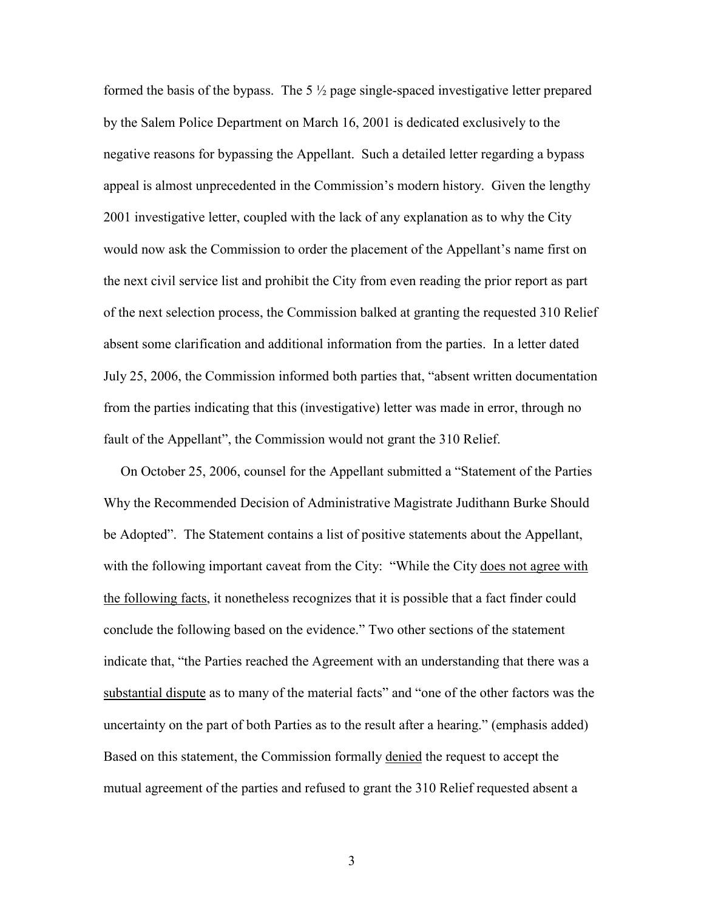formed the basis of the bypass. The  $5\frac{1}{2}$  page single-spaced investigative letter prepared by the Salem Police Department on March 16, 2001 is dedicated exclusively to the negative reasons for bypassing the Appellant. Such a detailed letter regarding a bypass appeal is almost unprecedented in the Commission's modern history. Given the lengthy 2001 investigative letter, coupled with the lack of any explanation as to why the City would now ask the Commission to order the placement of the Appellant's name first on the next civil service list and prohibit the City from even reading the prior report as part of the next selection process, the Commission balked at granting the requested 310 Relief absent some clarification and additional information from the parties. In a letter dated July 25, 2006, the Commission informed both parties that, "absent written documentation from the parties indicating that this (investigative) letter was made in error, through no fault of the Appellant", the Commission would not grant the 310 Relief.

 On October 25, 2006, counsel for the Appellant submitted a "Statement of the Parties Why the Recommended Decision of Administrative Magistrate Judithann Burke Should be Adopted". The Statement contains a list of positive statements about the Appellant, with the following important caveat from the City: "While the City does not agree with the following facts, it nonetheless recognizes that it is possible that a fact finder could conclude the following based on the evidence." Two other sections of the statement indicate that, "the Parties reached the Agreement with an understanding that there was a substantial dispute as to many of the material facts" and "one of the other factors was the uncertainty on the part of both Parties as to the result after a hearing." (emphasis added) Based on this statement, the Commission formally denied the request to accept the mutual agreement of the parties and refused to grant the 310 Relief requested absent a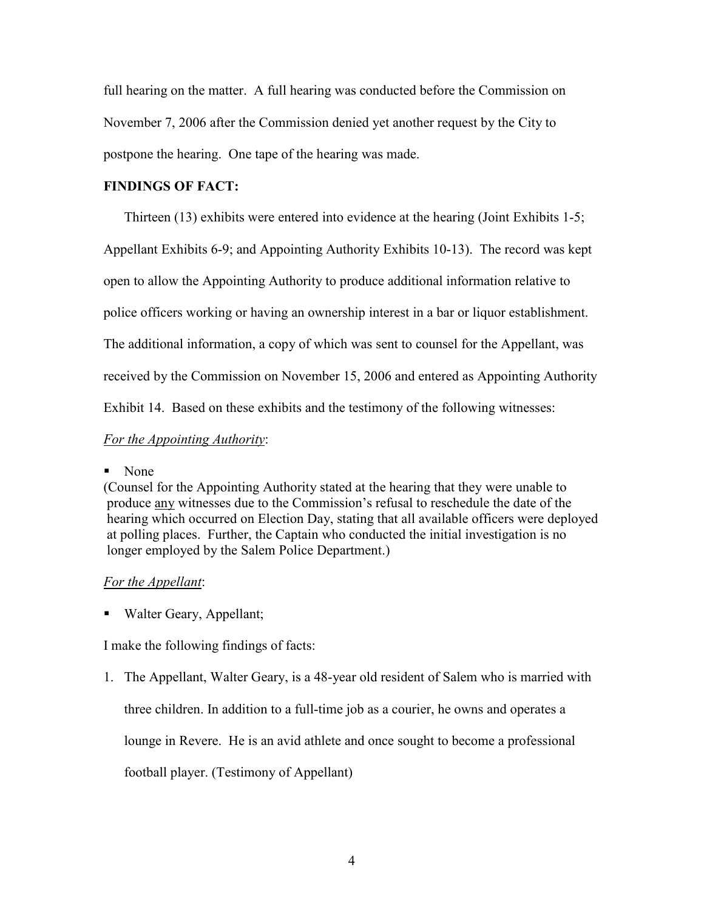full hearing on the matter. A full hearing was conducted before the Commission on November 7, 2006 after the Commission denied yet another request by the City to postpone the hearing. One tape of the hearing was made.

# FINDINGS OF FACT:

Thirteen (13) exhibits were entered into evidence at the hearing (Joint Exhibits 1-5;

Appellant Exhibits 6-9; and Appointing Authority Exhibits 10-13). The record was kept

open to allow the Appointing Authority to produce additional information relative to

police officers working or having an ownership interest in a bar or liquor establishment.

The additional information, a copy of which was sent to counsel for the Appellant, was

received by the Commission on November 15, 2006 and entered as Appointing Authority

Exhibit 14. Based on these exhibits and the testimony of the following witnesses:

For the Appointing Authority:

# ■ None

(Counsel for the Appointing Authority stated at the hearing that they were unable to produce any witnesses due to the Commission's refusal to reschedule the date of the hearing which occurred on Election Day, stating that all available officers were deployed at polling places. Further, the Captain who conducted the initial investigation is no longer employed by the Salem Police Department.)

# For the Appellant:

■ Walter Geary, Appellant;

I make the following findings of facts:

1. The Appellant, Walter Geary, is a 48-year old resident of Salem who is married with three children. In addition to a full-time job as a courier, he owns and operates a lounge in Revere. He is an avid athlete and once sought to become a professional football player. (Testimony of Appellant)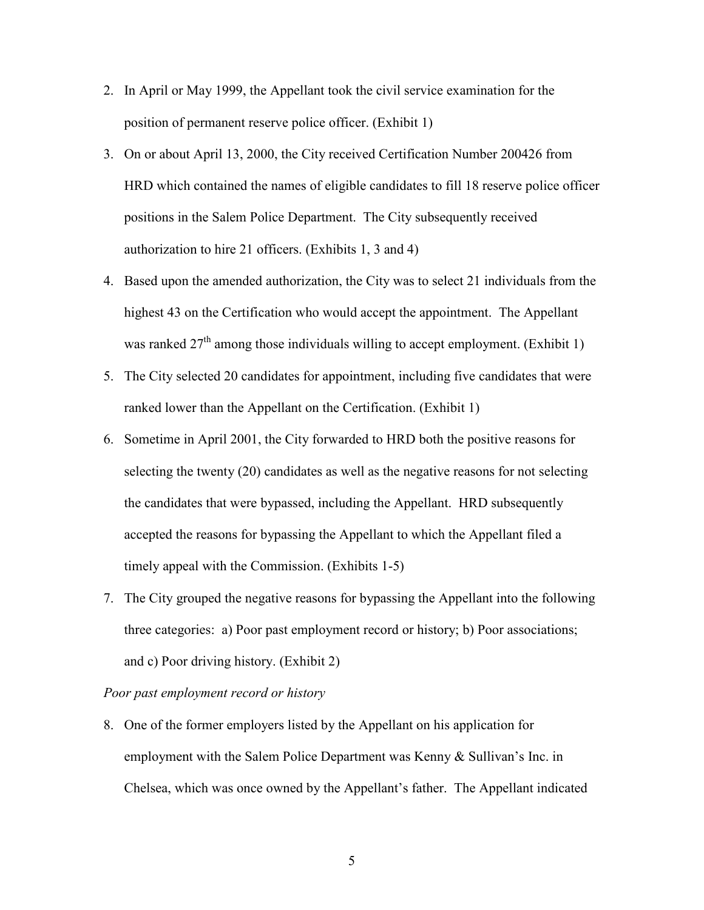- 2. In April or May 1999, the Appellant took the civil service examination for the position of permanent reserve police officer. (Exhibit 1)
- 3. On or about April 13, 2000, the City received Certification Number 200426 from HRD which contained the names of eligible candidates to fill 18 reserve police officer positions in the Salem Police Department. The City subsequently received authorization to hire 21 officers. (Exhibits 1, 3 and 4)
- 4. Based upon the amended authorization, the City was to select 21 individuals from the highest 43 on the Certification who would accept the appointment. The Appellant was ranked  $27<sup>th</sup>$  among those individuals willing to accept employment. (Exhibit 1)
- 5. The City selected 20 candidates for appointment, including five candidates that were ranked lower than the Appellant on the Certification. (Exhibit 1)
- 6. Sometime in April 2001, the City forwarded to HRD both the positive reasons for selecting the twenty (20) candidates as well as the negative reasons for not selecting the candidates that were bypassed, including the Appellant. HRD subsequently accepted the reasons for bypassing the Appellant to which the Appellant filed a timely appeal with the Commission. (Exhibits 1-5)
- 7. The City grouped the negative reasons for bypassing the Appellant into the following three categories: a) Poor past employment record or history; b) Poor associations; and c) Poor driving history. (Exhibit 2)

# Poor past employment record or history

8. One of the former employers listed by the Appellant on his application for employment with the Salem Police Department was Kenny & Sullivan's Inc. in Chelsea, which was once owned by the Appellant's father. The Appellant indicated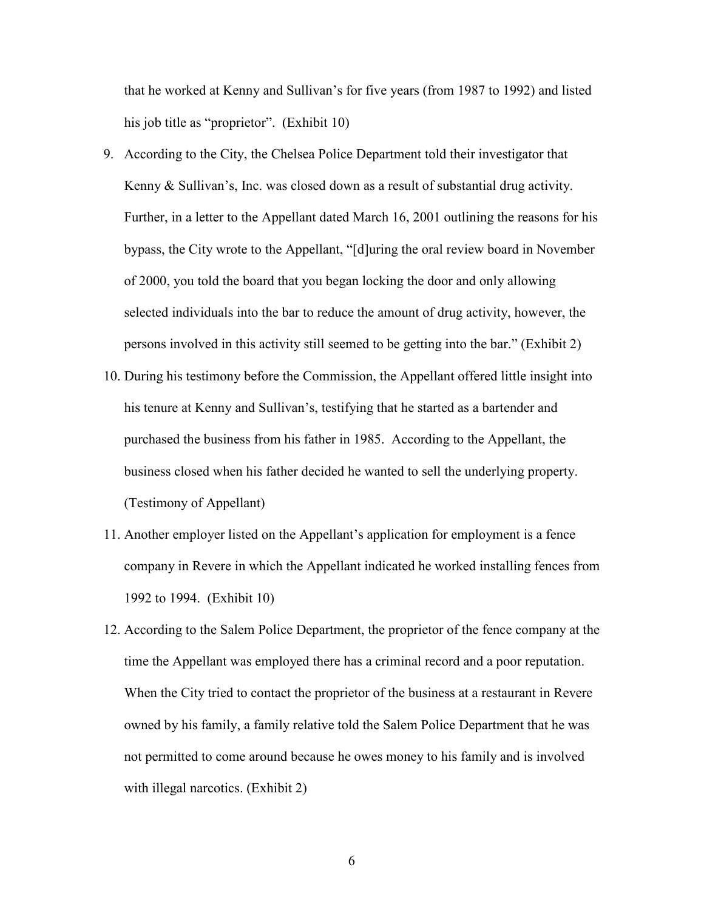that he worked at Kenny and Sullivan's for five years (from 1987 to 1992) and listed his job title as "proprietor". (Exhibit 10)

- 9. According to the City, the Chelsea Police Department told their investigator that Kenny & Sullivan's, Inc. was closed down as a result of substantial drug activity. Further, in a letter to the Appellant dated March 16, 2001 outlining the reasons for his bypass, the City wrote to the Appellant, "[d]uring the oral review board in November of 2000, you told the board that you began locking the door and only allowing selected individuals into the bar to reduce the amount of drug activity, however, the persons involved in this activity still seemed to be getting into the bar." (Exhibit 2)
- 10. During his testimony before the Commission, the Appellant offered little insight into his tenure at Kenny and Sullivan's, testifying that he started as a bartender and purchased the business from his father in 1985. According to the Appellant, the business closed when his father decided he wanted to sell the underlying property. (Testimony of Appellant)
- 11. Another employer listed on the Appellant's application for employment is a fence company in Revere in which the Appellant indicated he worked installing fences from 1992 to 1994. (Exhibit 10)
- 12. According to the Salem Police Department, the proprietor of the fence company at the time the Appellant was employed there has a criminal record and a poor reputation. When the City tried to contact the proprietor of the business at a restaurant in Revere owned by his family, a family relative told the Salem Police Department that he was not permitted to come around because he owes money to his family and is involved with illegal narcotics. (Exhibit 2)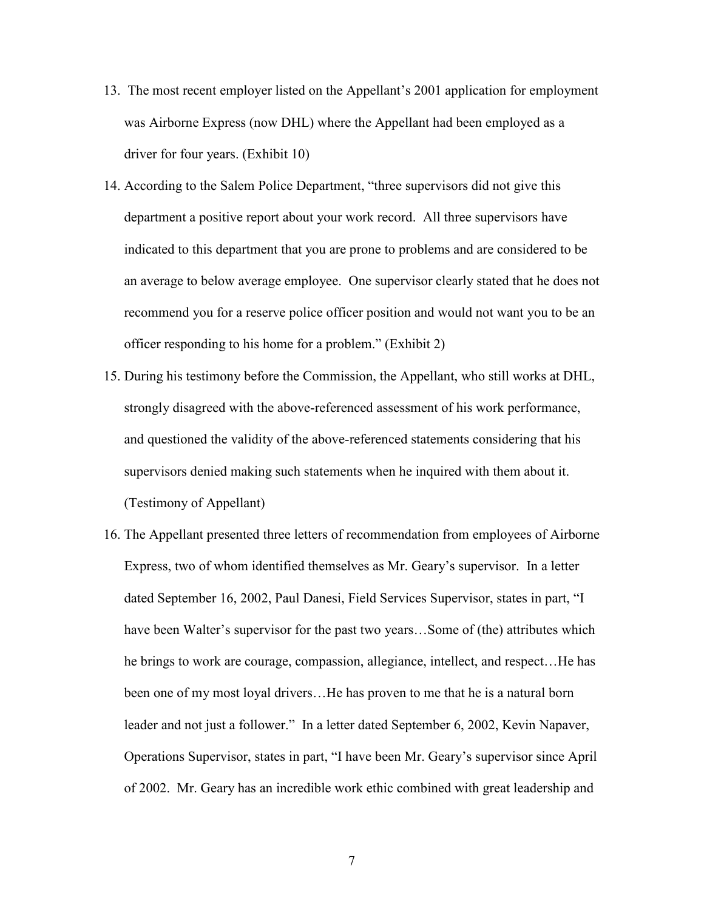- 13. The most recent employer listed on the Appellant's 2001 application for employment was Airborne Express (now DHL) where the Appellant had been employed as a driver for four years. (Exhibit 10)
- 14. According to the Salem Police Department, "three supervisors did not give this department a positive report about your work record. All three supervisors have indicated to this department that you are prone to problems and are considered to be an average to below average employee. One supervisor clearly stated that he does not recommend you for a reserve police officer position and would not want you to be an officer responding to his home for a problem." (Exhibit 2)
- 15. During his testimony before the Commission, the Appellant, who still works at DHL, strongly disagreed with the above-referenced assessment of his work performance, and questioned the validity of the above-referenced statements considering that his supervisors denied making such statements when he inquired with them about it. (Testimony of Appellant)
- 16. The Appellant presented three letters of recommendation from employees of Airborne Express, two of whom identified themselves as Mr. Geary's supervisor. In a letter dated September 16, 2002, Paul Danesi, Field Services Supervisor, states in part, "I have been Walter's supervisor for the past two years...Some of (the) attributes which he brings to work are courage, compassion, allegiance, intellect, and respect…He has been one of my most loyal drivers…He has proven to me that he is a natural born leader and not just a follower." In a letter dated September 6, 2002, Kevin Napaver, Operations Supervisor, states in part, "I have been Mr. Geary's supervisor since April of 2002. Mr. Geary has an incredible work ethic combined with great leadership and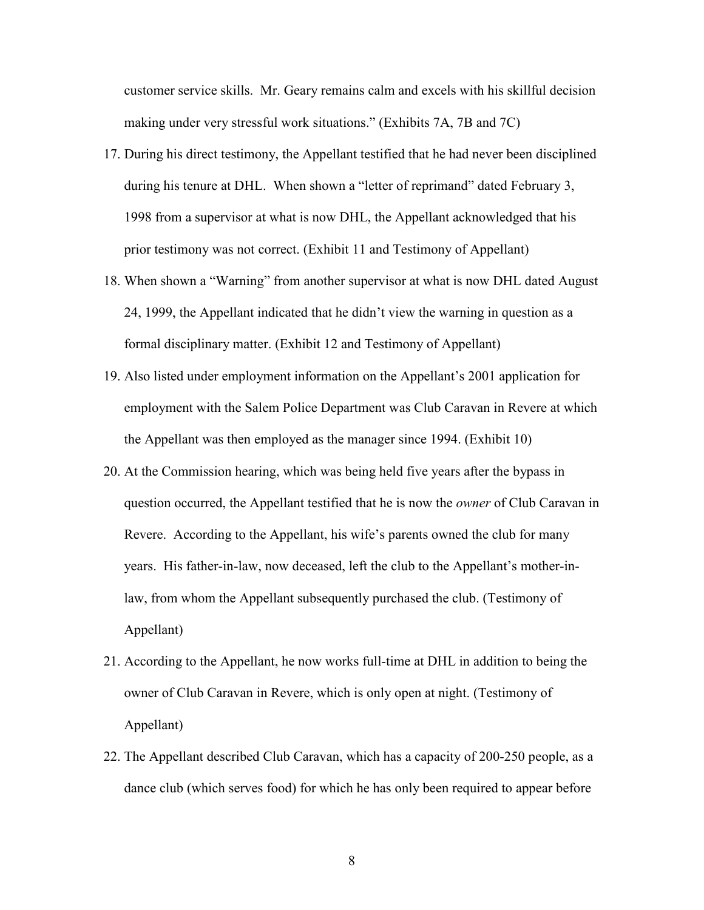customer service skills. Mr. Geary remains calm and excels with his skillful decision making under very stressful work situations." (Exhibits 7A, 7B and 7C)

- 17. During his direct testimony, the Appellant testified that he had never been disciplined during his tenure at DHL. When shown a "letter of reprimand" dated February 3, 1998 from a supervisor at what is now DHL, the Appellant acknowledged that his prior testimony was not correct. (Exhibit 11 and Testimony of Appellant)
- 18. When shown a "Warning" from another supervisor at what is now DHL dated August 24, 1999, the Appellant indicated that he didn't view the warning in question as a formal disciplinary matter. (Exhibit 12 and Testimony of Appellant)
- 19. Also listed under employment information on the Appellant's 2001 application for employment with the Salem Police Department was Club Caravan in Revere at which the Appellant was then employed as the manager since 1994. (Exhibit 10)
- 20. At the Commission hearing, which was being held five years after the bypass in question occurred, the Appellant testified that he is now the *owner* of Club Caravan in Revere. According to the Appellant, his wife's parents owned the club for many years. His father-in-law, now deceased, left the club to the Appellant's mother-inlaw, from whom the Appellant subsequently purchased the club. (Testimony of Appellant)
- 21. According to the Appellant, he now works full-time at DHL in addition to being the owner of Club Caravan in Revere, which is only open at night. (Testimony of Appellant)
- 22. The Appellant described Club Caravan, which has a capacity of 200-250 people, as a dance club (which serves food) for which he has only been required to appear before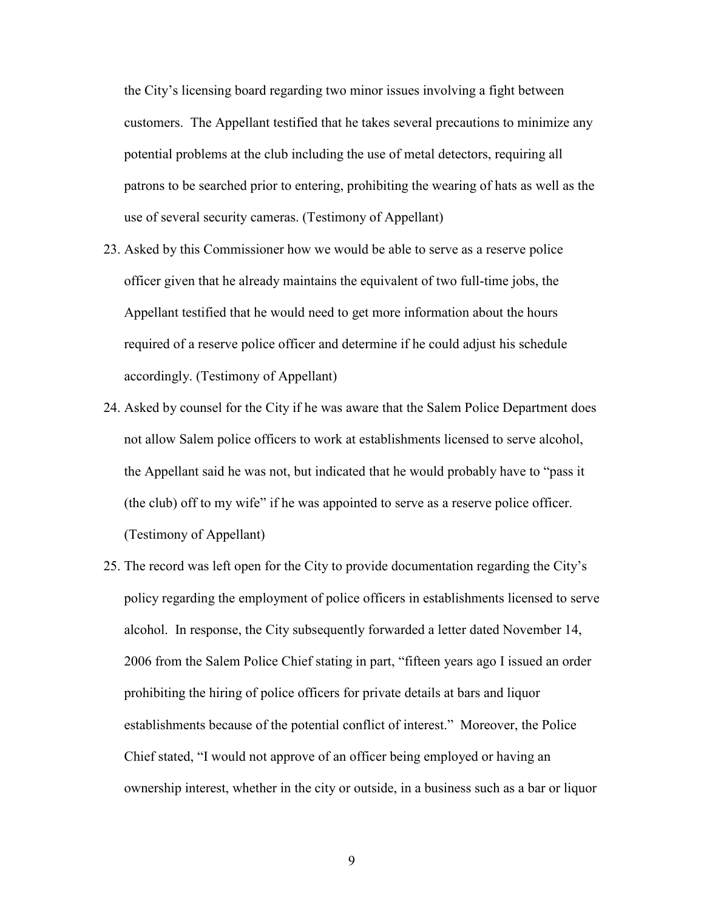the City's licensing board regarding two minor issues involving a fight between customers. The Appellant testified that he takes several precautions to minimize any potential problems at the club including the use of metal detectors, requiring all patrons to be searched prior to entering, prohibiting the wearing of hats as well as the use of several security cameras. (Testimony of Appellant)

- 23. Asked by this Commissioner how we would be able to serve as a reserve police officer given that he already maintains the equivalent of two full-time jobs, the Appellant testified that he would need to get more information about the hours required of a reserve police officer and determine if he could adjust his schedule accordingly. (Testimony of Appellant)
- 24. Asked by counsel for the City if he was aware that the Salem Police Department does not allow Salem police officers to work at establishments licensed to serve alcohol, the Appellant said he was not, but indicated that he would probably have to "pass it (the club) off to my wife" if he was appointed to serve as a reserve police officer. (Testimony of Appellant)
- 25. The record was left open for the City to provide documentation regarding the City's policy regarding the employment of police officers in establishments licensed to serve alcohol. In response, the City subsequently forwarded a letter dated November 14, 2006 from the Salem Police Chief stating in part, "fifteen years ago I issued an order prohibiting the hiring of police officers for private details at bars and liquor establishments because of the potential conflict of interest." Moreover, the Police Chief stated, "I would not approve of an officer being employed or having an ownership interest, whether in the city or outside, in a business such as a bar or liquor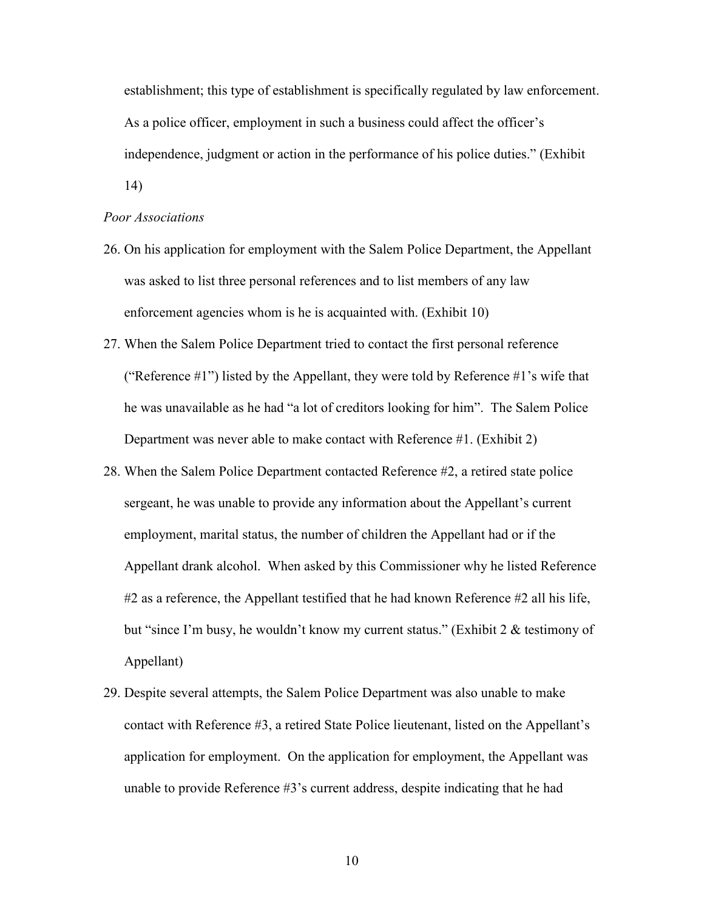establishment; this type of establishment is specifically regulated by law enforcement. As a police officer, employment in such a business could affect the officer's independence, judgment or action in the performance of his police duties." (Exhibit

14)

#### Poor Associations

- 26. On his application for employment with the Salem Police Department, the Appellant was asked to list three personal references and to list members of any law enforcement agencies whom is he is acquainted with. (Exhibit 10)
- 27. When the Salem Police Department tried to contact the first personal reference ("Reference  $\#1$ ") listed by the Appellant, they were told by Reference  $\#1$ 's wife that he was unavailable as he had "a lot of creditors looking for him". The Salem Police Department was never able to make contact with Reference #1. (Exhibit 2)
- 28. When the Salem Police Department contacted Reference #2, a retired state police sergeant, he was unable to provide any information about the Appellant's current employment, marital status, the number of children the Appellant had or if the Appellant drank alcohol. When asked by this Commissioner why he listed Reference  $\#2$  as a reference, the Appellant testified that he had known Reference  $\#2$  all his life, but "since I'm busy, he wouldn't know my current status." (Exhibit 2 & testimony of Appellant)
- 29. Despite several attempts, the Salem Police Department was also unable to make contact with Reference #3, a retired State Police lieutenant, listed on the Appellant's application for employment. On the application for employment, the Appellant was unable to provide Reference #3's current address, despite indicating that he had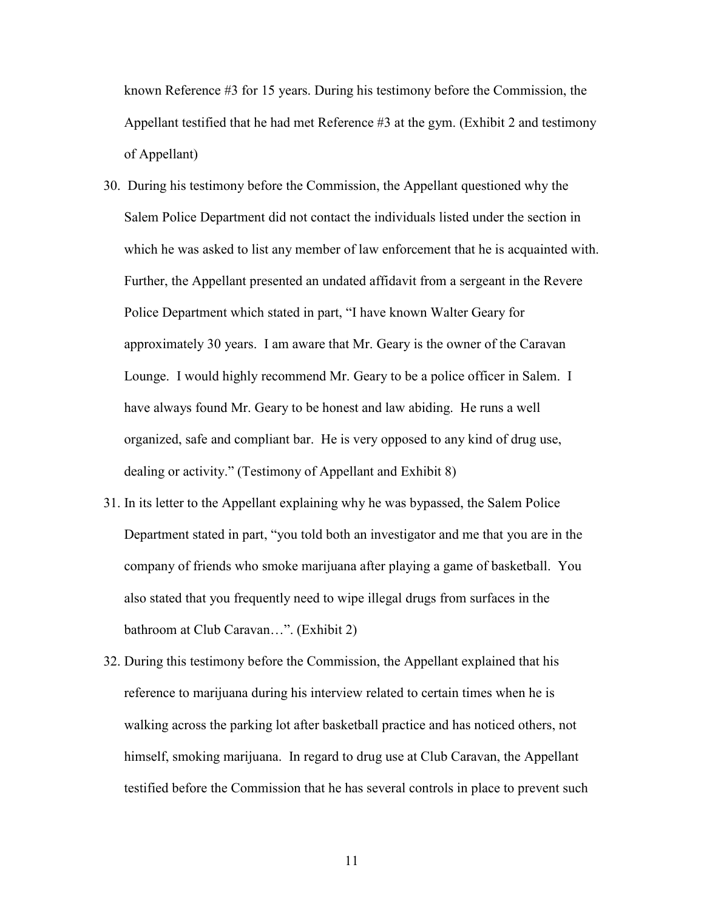known Reference #3 for 15 years. During his testimony before the Commission, the Appellant testified that he had met Reference #3 at the gym. (Exhibit 2 and testimony of Appellant)

- 30. During his testimony before the Commission, the Appellant questioned why the Salem Police Department did not contact the individuals listed under the section in which he was asked to list any member of law enforcement that he is acquainted with. Further, the Appellant presented an undated affidavit from a sergeant in the Revere Police Department which stated in part, "I have known Walter Geary for approximately 30 years. I am aware that Mr. Geary is the owner of the Caravan Lounge. I would highly recommend Mr. Geary to be a police officer in Salem. I have always found Mr. Geary to be honest and law abiding. He runs a well organized, safe and compliant bar. He is very opposed to any kind of drug use, dealing or activity." (Testimony of Appellant and Exhibit 8)
- 31. In its letter to the Appellant explaining why he was bypassed, the Salem Police Department stated in part, "you told both an investigator and me that you are in the company of friends who smoke marijuana after playing a game of basketball. You also stated that you frequently need to wipe illegal drugs from surfaces in the bathroom at Club Caravan…". (Exhibit 2)
- 32. During this testimony before the Commission, the Appellant explained that his reference to marijuana during his interview related to certain times when he is walking across the parking lot after basketball practice and has noticed others, not himself, smoking marijuana. In regard to drug use at Club Caravan, the Appellant testified before the Commission that he has several controls in place to prevent such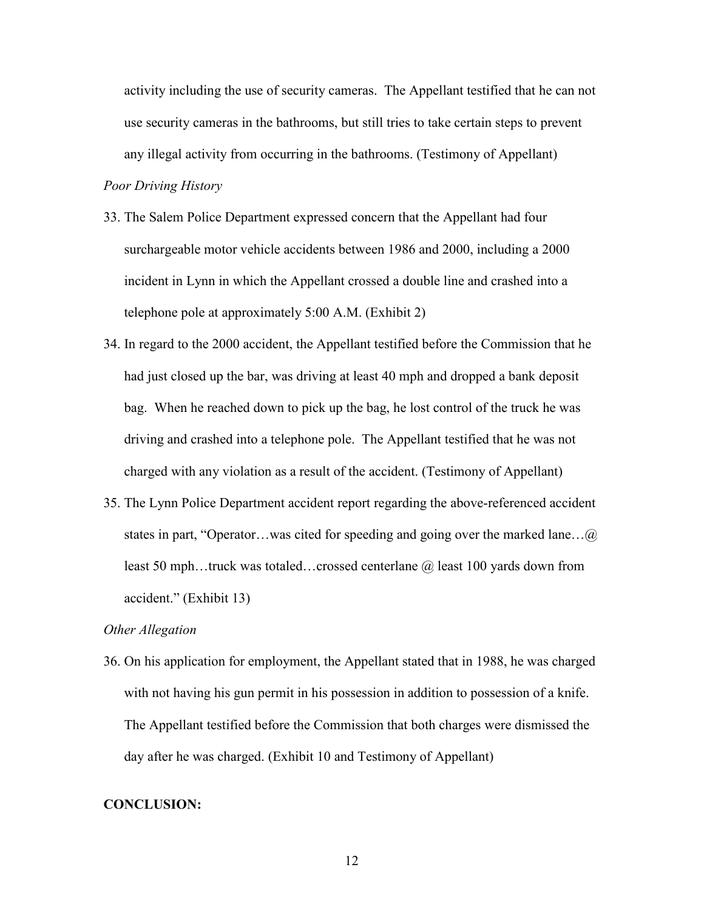activity including the use of security cameras. The Appellant testified that he can not use security cameras in the bathrooms, but still tries to take certain steps to prevent any illegal activity from occurring in the bathrooms. (Testimony of Appellant)

# Poor Driving History

- 33. The Salem Police Department expressed concern that the Appellant had four surchargeable motor vehicle accidents between 1986 and 2000, including a 2000 incident in Lynn in which the Appellant crossed a double line and crashed into a telephone pole at approximately 5:00 A.M. (Exhibit 2)
- 34. In regard to the 2000 accident, the Appellant testified before the Commission that he had just closed up the bar, was driving at least 40 mph and dropped a bank deposit bag. When he reached down to pick up the bag, he lost control of the truck he was driving and crashed into a telephone pole. The Appellant testified that he was not charged with any violation as a result of the accident. (Testimony of Appellant)
- 35. The Lynn Police Department accident report regarding the above-referenced accident states in part, "Operator…was cited for speeding and going over the marked lane…@ least 50 mph...truck was totaled...crossed centerlane @ least 100 yards down from accident." (Exhibit 13)

#### Other Allegation

36. On his application for employment, the Appellant stated that in 1988, he was charged with not having his gun permit in his possession in addition to possession of a knife. The Appellant testified before the Commission that both charges were dismissed the day after he was charged. (Exhibit 10 and Testimony of Appellant)

# CONCLUSION: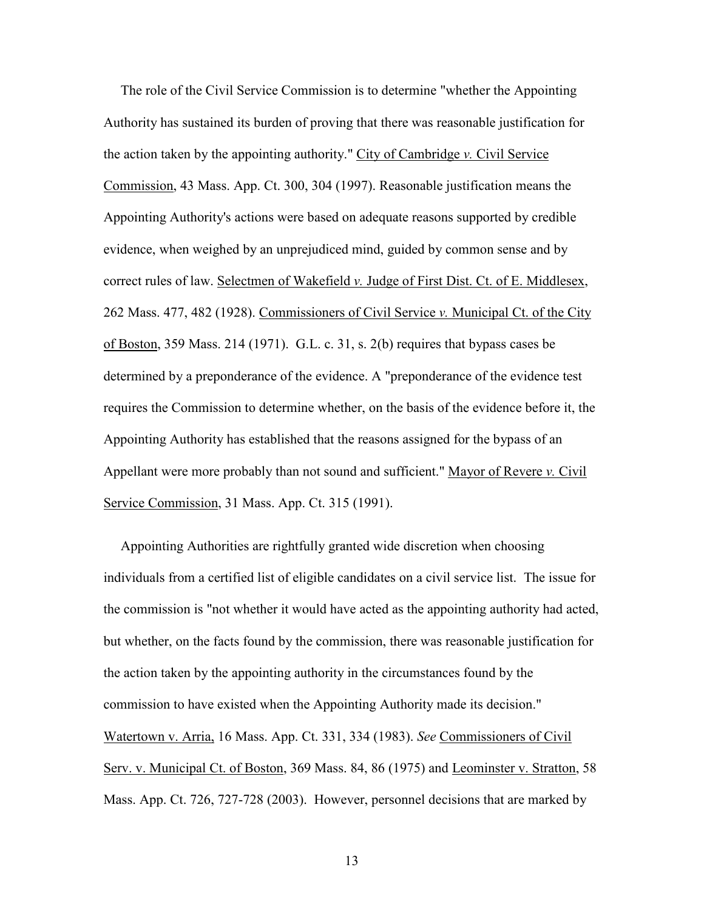The role of the Civil Service Commission is to determine "whether the Appointing Authority has sustained its burden of proving that there was reasonable justification for the action taken by the appointing authority." City of Cambridge v. Civil Service Commission, 43 Mass. App. Ct. 300, 304 (1997). Reasonable justification means the Appointing Authority's actions were based on adequate reasons supported by credible evidence, when weighed by an unprejudiced mind, guided by common sense and by correct rules of law. Selectmen of Wakefield v. Judge of First Dist. Ct. of E. Middlesex, 262 Mass. 477, 482 (1928). Commissioners of Civil Service v. Municipal Ct. of the City of Boston, 359 Mass. 214 (1971). G.L. c. 31, s. 2(b) requires that bypass cases be determined by a preponderance of the evidence. A "preponderance of the evidence test requires the Commission to determine whether, on the basis of the evidence before it, the Appointing Authority has established that the reasons assigned for the bypass of an Appellant were more probably than not sound and sufficient." Mayor of Revere  $\nu$ . Civil Service Commission, 31 Mass. App. Ct. 315 (1991).

 Appointing Authorities are rightfully granted wide discretion when choosing individuals from a certified list of eligible candidates on a civil service list. The issue for the commission is "not whether it would have acted as the appointing authority had acted, but whether, on the facts found by the commission, there was reasonable justification for the action taken by the appointing authority in the circumstances found by the commission to have existed when the Appointing Authority made its decision." Watertown v. Arria, 16 Mass. App. Ct. 331, 334 (1983). See Commissioners of Civil Serv. v. Municipal Ct. of Boston, 369 Mass. 84, 86 (1975) and Leominster v. Stratton, 58 Mass. App. Ct. 726, 727-728 (2003). However, personnel decisions that are marked by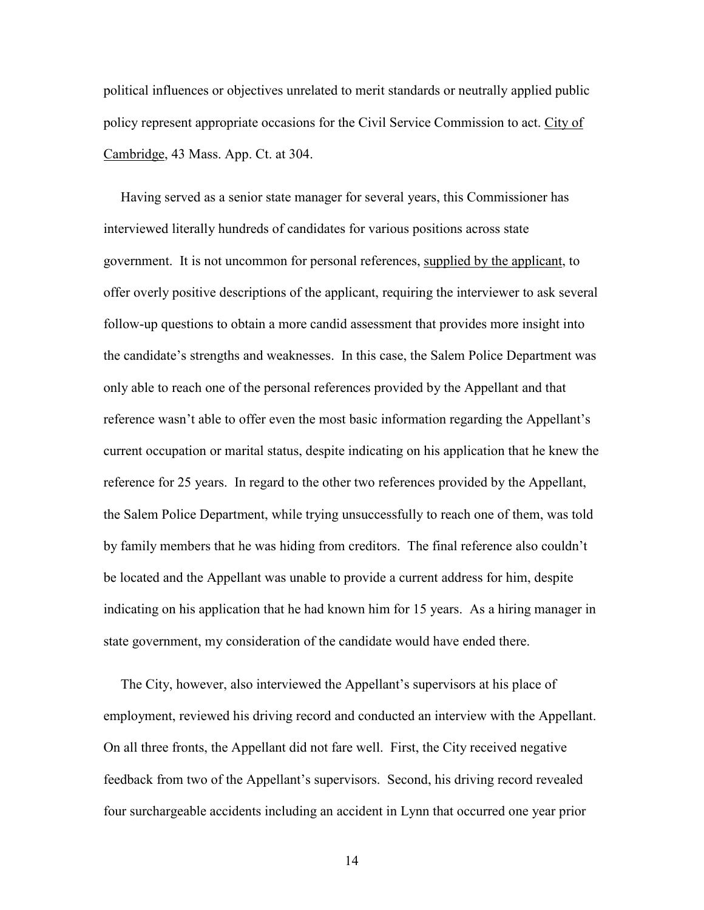political influences or objectives unrelated to merit standards or neutrally applied public policy represent appropriate occasions for the Civil Service Commission to act. City of Cambridge, 43 Mass. App. Ct. at 304.

 Having served as a senior state manager for several years, this Commissioner has interviewed literally hundreds of candidates for various positions across state government. It is not uncommon for personal references, supplied by the applicant, to offer overly positive descriptions of the applicant, requiring the interviewer to ask several follow-up questions to obtain a more candid assessment that provides more insight into the candidate's strengths and weaknesses. In this case, the Salem Police Department was only able to reach one of the personal references provided by the Appellant and that reference wasn't able to offer even the most basic information regarding the Appellant's current occupation or marital status, despite indicating on his application that he knew the reference for 25 years. In regard to the other two references provided by the Appellant, the Salem Police Department, while trying unsuccessfully to reach one of them, was told by family members that he was hiding from creditors. The final reference also couldn't be located and the Appellant was unable to provide a current address for him, despite indicating on his application that he had known him for 15 years. As a hiring manager in state government, my consideration of the candidate would have ended there.

 The City, however, also interviewed the Appellant's supervisors at his place of employment, reviewed his driving record and conducted an interview with the Appellant. On all three fronts, the Appellant did not fare well. First, the City received negative feedback from two of the Appellant's supervisors. Second, his driving record revealed four surchargeable accidents including an accident in Lynn that occurred one year prior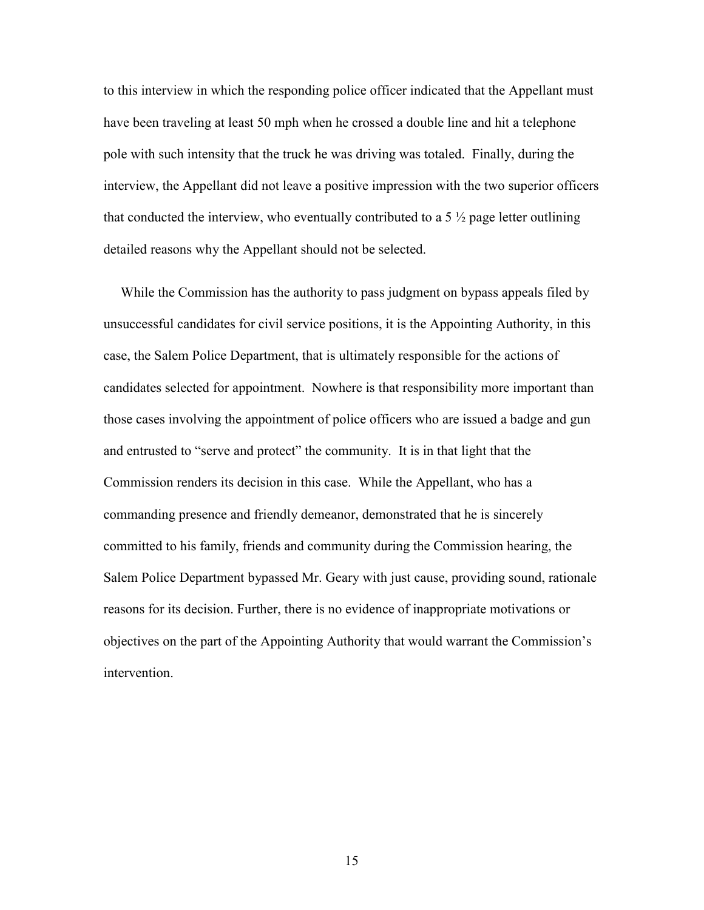to this interview in which the responding police officer indicated that the Appellant must have been traveling at least 50 mph when he crossed a double line and hit a telephone pole with such intensity that the truck he was driving was totaled. Finally, during the interview, the Appellant did not leave a positive impression with the two superior officers that conducted the interview, who eventually contributed to a 5  $\frac{1}{2}$  page letter outlining detailed reasons why the Appellant should not be selected.

 While the Commission has the authority to pass judgment on bypass appeals filed by unsuccessful candidates for civil service positions, it is the Appointing Authority, in this case, the Salem Police Department, that is ultimately responsible for the actions of candidates selected for appointment. Nowhere is that responsibility more important than those cases involving the appointment of police officers who are issued a badge and gun and entrusted to "serve and protect" the community. It is in that light that the Commission renders its decision in this case. While the Appellant, who has a commanding presence and friendly demeanor, demonstrated that he is sincerely committed to his family, friends and community during the Commission hearing, the Salem Police Department bypassed Mr. Geary with just cause, providing sound, rationale reasons for its decision. Further, there is no evidence of inappropriate motivations or objectives on the part of the Appointing Authority that would warrant the Commission's intervention.